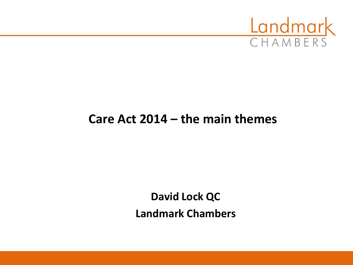

#### **Care Act 2014 – the main themes**

**David Lock QC Landmark Chambers**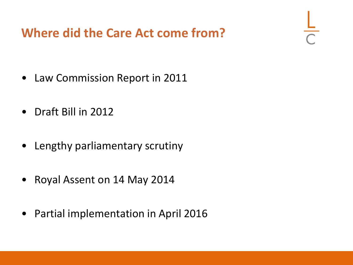## **Where did the Care Act come from?**

- Law Commission Report in 2011
- Draft Bill in 2012
- Lengthy parliamentary scrutiny
- Royal Assent on 14 May 2014
- Partial implementation in April 2016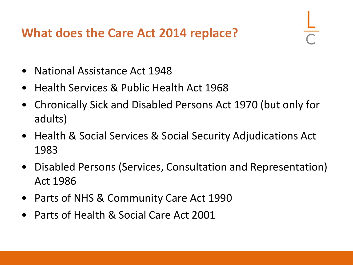## **What does the Care Act 2014 replace?**

- National Assistance Act 1948
- Health Services & Public Health Act 1968
- Chronically Sick and Disabled Persons Act 1970 (but only for adults)
- Health & Social Services & Social Security Adjudications Act 1983
- Disabled Persons (Services, Consultation and Representation) Act 1986
- Parts of NHS & Community Care Act 1990
- Parts of Health & Social Care Act 2001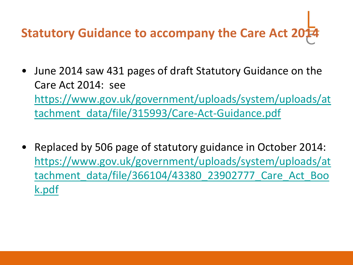# **Statutory Guidance to accompany the Care Act 2014**

- June 2014 saw 431 pages of draft Statutory Guidance on the Care Act 2014: see [https://www.gov.uk/government/uploads/system/uploads/at](https://www.gov.uk/government/uploads/system/uploads/attachment_data/file/315993/Care-Act-Guidance.pdf) [tachment\\_data/file/315993/Care-Act-Guidance.pdf](https://www.gov.uk/government/uploads/system/uploads/attachment_data/file/315993/Care-Act-Guidance.pdf)
- Replaced by 506 page of statutory guidance in October 2014: [https://www.gov.uk/government/uploads/system/uploads/at](https://www.gov.uk/government/uploads/system/uploads/attachment_data/file/366104/43380_23902777_Care_Act_Book.pdf) [tachment\\_data/file/366104/43380\\_23902777\\_Care\\_Act\\_Boo](https://www.gov.uk/government/uploads/system/uploads/attachment_data/file/366104/43380_23902777_Care_Act_Book.pdf) [k.pdf](https://www.gov.uk/government/uploads/system/uploads/attachment_data/file/366104/43380_23902777_Care_Act_Book.pdf)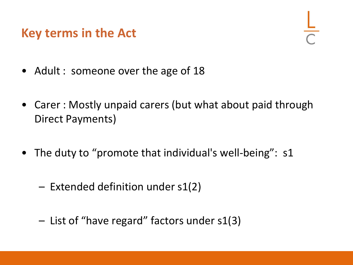#### **Key terms in the Act**

- Adult : someone over the age of 18
- Carer : Mostly unpaid carers (but what about paid through Direct Payments)
- The duty to "promote that individual's well-being": s1
	- Extended definition under s1(2)
	- List of "have regard" factors under s1(3)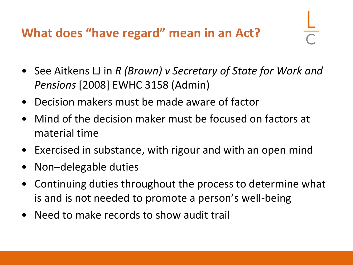## **What does "have regard" mean in an Act?**

- See Aitkens LJ in *R (Brown) v Secretary of State for Work and Pensions* [2008] EWHC 3158 (Admin)
- Decision makers must be made aware of factor
- Mind of the decision maker must be focused on factors at material time
- Exercised in substance, with rigour and with an open mind
- Non-delegable duties
- Continuing duties throughout the process to determine what is and is not needed to promote a person's well-being
- Need to make records to show audit trail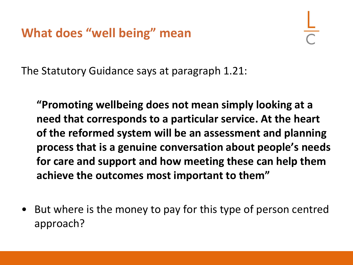The Statutory Guidance says at paragraph 1.21:

**"Promoting wellbeing does not mean simply looking at a need that corresponds to a particular service. At the heart of the reformed system will be an assessment and planning process that is a genuine conversation about people's needs for care and support and how meeting these can help them achieve the outcomes most important to them"**

• But where is the money to pay for this type of person centred approach?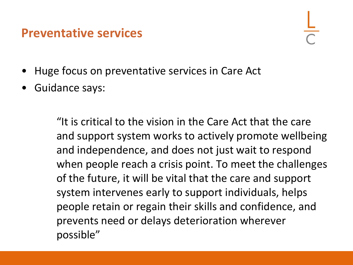#### **Preventative services**

- Huge focus on preventative services in Care Act
- Guidance says:

"It is critical to the vision in the Care Act that the care and support system works to actively promote wellbeing and independence, and does not just wait to respond when people reach a crisis point. To meet the challenges of the future, it will be vital that the care and support system intervenes early to support individuals, helps people retain or regain their skills and confidence, and prevents need or delays deterioration wherever possible"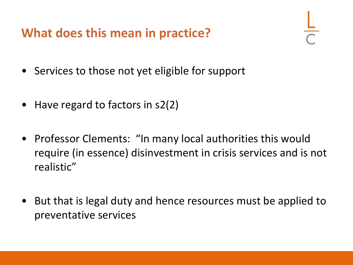**What does this mean in practice?**

- Services to those not yet eligible for support
- Have regard to factors in s2(2)
- Professor Clements: "In many local authorities this would require (in essence) disinvestment in crisis services and is not realistic"
- But that is legal duty and hence resources must be applied to preventative services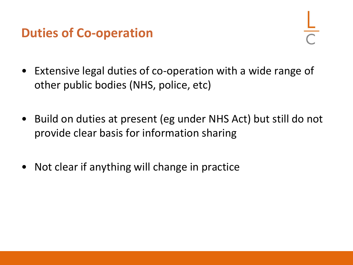## **Duties of Co-operation**

- Extensive legal duties of co-operation with a wide range of other public bodies (NHS, police, etc)
- Build on duties at present (eg under NHS Act) but still do not provide clear basis for information sharing
- Not clear if anything will change in practice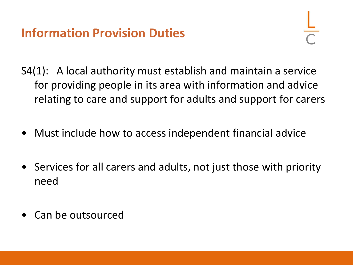## **Information Provision Duties**

- S4(1): A local authority must establish and maintain a service for providing people in its area with information and advice relating to care and support for adults and support for carers
- Must include how to access independent financial advice
- Services for all carers and adults, not just those with priority need
- Can be outsourced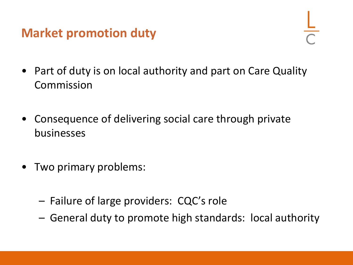#### **Market promotion duty**

- Part of duty is on local authority and part on Care Quality Commission
- Consequence of delivering social care through private businesses
- Two primary problems:
	- Failure of large providers: CQC's role
	- General duty to promote high standards: local authority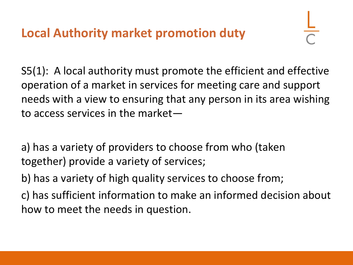**Local Authority market promotion duty**

S5(1): A local authority must promote the efficient and effective operation of a market in services for meeting care and support needs with a view to ensuring that any person in its area wishing to access services in the market—

a) has a variety of providers to choose from who (taken together) provide a variety of services;

b) has a variety of high quality services to choose from;

c) has sufficient information to make an informed decision about how to meet the needs in question.